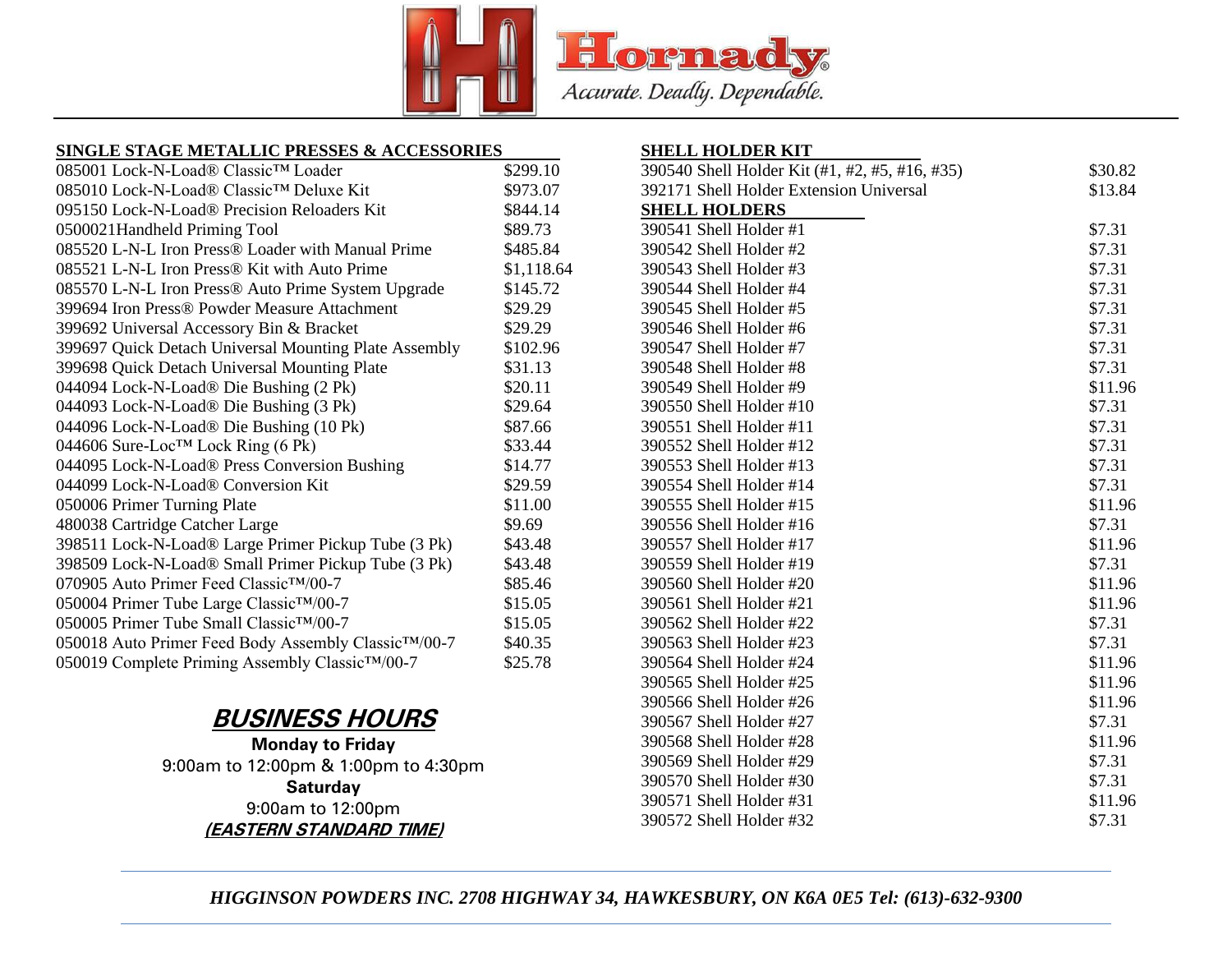

### **SINGLE STAGE METALLIC PRESSES & ACCESSORIES**

| 085001 Lock-N-Load® Classic™ Loader                               | \$299.10   |
|-------------------------------------------------------------------|------------|
| 085010 Lock-N-Load® Classic™ Deluxe Kit                           | \$973.07   |
| 095150 Lock-N-Load® Precision Reloaders Kit                       | \$844.14   |
| 0500021Handheld Priming Tool                                      | \$89.73    |
| 085520 L-N-L Iron Press® Loader with Manual Prime                 | \$485.84   |
| 085521 L-N-L Iron Press® Kit with Auto Prime                      | \$1,118.64 |
| 085570 L-N-L Iron Press® Auto Prime System Upgrade                | \$145.72   |
| 399694 Iron Press® Powder Measure Attachment                      | \$29.29    |
| 399692 Universal Accessory Bin & Bracket                          | \$29.29    |
| 399697 Quick Detach Universal Mounting Plate Assembly             | \$102.96   |
| 399698 Quick Detach Universal Mounting Plate                      | \$31.13    |
| 044094 Lock-N-Load® Die Bushing (2 Pk)                            | \$20.11    |
| 044093 Lock-N-Load® Die Bushing (3 Pk)                            | \$29.64    |
| 044096 Lock-N-Load® Die Bushing (10 Pk)                           | \$87.66    |
| 044606 Sure-Loc™ Lock Ring (6 Pk)                                 | \$33.44    |
| 044095 Lock-N-Load® Press Conversion Bushing                      | \$14.77    |
| 044099 Lock-N-Load® Conversion Kit                                | \$29.59    |
| 050006 Primer Turning Plate                                       | \$11.00    |
| 480038 Cartridge Catcher Large                                    | \$9.69     |
| 398511 Lock-N-Load® Large Primer Pickup Tube (3 Pk)               | \$43.48    |
| 398509 Lock-N-Load® Small Primer Pickup Tube (3 Pk)               | \$43.48    |
| 070905 Auto Primer Feed Classic™/00-7                             | \$85.46    |
| 050004 Primer Tube Large Classic <sup>TM</sup> /00-7              | \$15.05    |
| 050005 Primer Tube Small Classic™/00-7                            | \$15.05    |
| 050018 Auto Primer Feed Body Assembly Classic <sup>TM</sup> /00-7 | \$40.35    |
| 050019 Complete Priming Assembly Classic <sup>TM</sup> /00-7      | \$25.78    |

# **BUSINESS HOURS**

**Monday to Friday** 9:00am to 12:00pm & 1:00pm to 4:30pm **Saturday** 9:00am to 12:00pm **(EASTERN STANDARD TIME)**

### **SHELL HOLDER KIT**

| 390540 Shell Holder Kit (#1, #2, #5, #16, #35) | \$30.82 |
|------------------------------------------------|---------|
| 392171 Shell Holder Extension Universal        | \$13.84 |
| <b>SHELL HOLDERS</b>                           |         |
| 390541 Shell Holder #1                         | \$7.31  |
| 390542 Shell Holder #2                         | \$7.31  |
| 390543 Shell Holder #3                         | \$7.31  |
| 390544 Shell Holder #4                         | \$7.31  |
| 390545 Shell Holder #5                         | \$7.31  |
| 390546 Shell Holder #6                         | \$7.31  |
| 390547 Shell Holder #7                         | \$7.31  |
| 390548 Shell Holder #8                         | \$7.31  |
| 390549 Shell Holder #9                         | \$11.96 |
| 390550 Shell Holder #10                        | \$7.31  |
| 390551 Shell Holder #11                        | \$7.31  |
| 390552 Shell Holder #12                        | \$7.31  |
| 390553 Shell Holder #13                        | \$7.31  |
| 390554 Shell Holder #14                        | \$7.31  |
| 390555 Shell Holder #15                        | \$11.96 |
| 390556 Shell Holder #16                        | \$7.31  |
| 390557 Shell Holder #17                        | \$11.96 |
| 390559 Shell Holder #19                        | \$7.31  |
| 390560 Shell Holder #20                        | \$11.96 |
| 390561 Shell Holder #21                        | \$11.96 |
| 390562 Shell Holder #22                        | \$7.31  |
| 390563 Shell Holder #23                        | \$7.31  |
| 390564 Shell Holder #24                        | \$11.96 |
| 390565 Shell Holder #25                        | \$11.96 |
| 390566 Shell Holder #26                        | \$11.96 |
| 390567 Shell Holder #27                        | \$7.31  |
| 390568 Shell Holder #28                        | \$11.96 |
| 390569 Shell Holder #29                        | \$7.31  |
| 390570 Shell Holder #30                        | \$7.31  |
| 390571 Shell Holder #31                        | \$11.96 |
| 390572 Shell Holder #32                        | \$7.31  |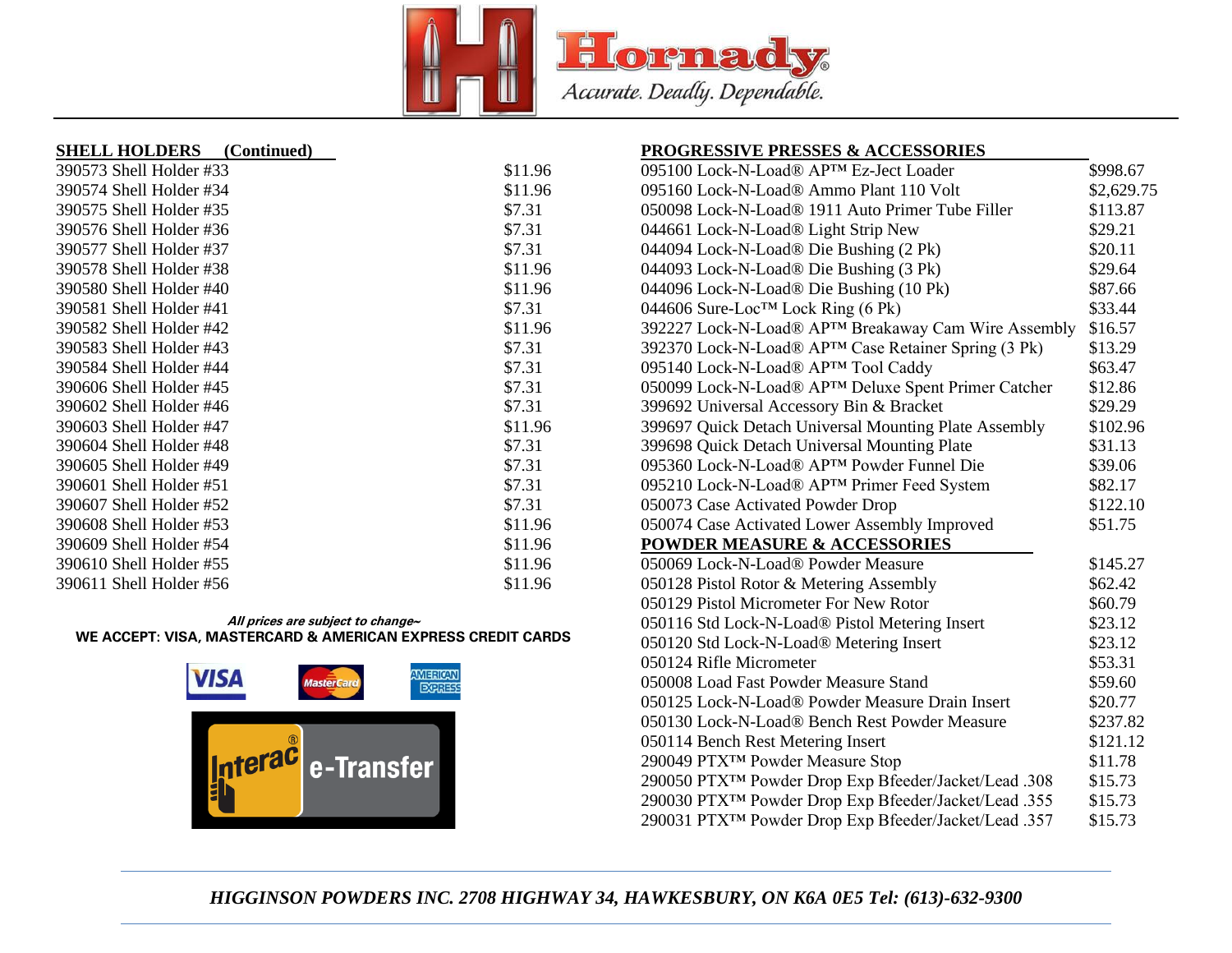

| <b>SHELL HOLDERS</b>    | (Continued) |
|-------------------------|-------------|
| 390573 Shell Holder #33 | \$11.96     |
| 390574 Shell Holder #34 | \$11.96     |
| 390575 Shell Holder #35 | \$7.31      |
| 390576 Shell Holder #36 | \$7.31      |
| 390577 Shell Holder #37 | \$7.31      |
| 390578 Shell Holder #38 | \$11.96     |
| 390580 Shell Holder #40 | \$11.96     |
| 390581 Shell Holder #41 | \$7.31      |
| 390582 Shell Holder #42 | \$11.96     |
| 390583 Shell Holder #43 | \$7.31      |
| 390584 Shell Holder #44 | \$7.31      |
| 390606 Shell Holder #45 | \$7.31      |
| 390602 Shell Holder #46 | \$7.31      |
| 390603 Shell Holder #47 | \$11.96     |
| 390604 Shell Holder #48 | \$7.31      |
| 390605 Shell Holder #49 | \$7.31      |
| 390601 Shell Holder #51 | \$7.31      |
| 390607 Shell Holder #52 | \$7.31      |
| 390608 Shell Holder #53 | \$11.96     |
| 390609 Shell Holder #54 | \$11.96     |
| 390610 Shell Holder #55 | \$11.96     |
| 390611 Shell Holder #56 | \$11.96     |

#### **All prices are subject to change~ WE ACCEPT: VISA, MASTERCARD & AMERICAN EXPRESS CREDIT CARDS**



| <b>PROGRESSIVE PRESSES &amp; ACCESSORIES</b>                      |            |
|-------------------------------------------------------------------|------------|
| 095100 Lock-N-Load® APTM Ez-Ject Loader                           | \$998.67   |
| 095160 Lock-N-Load® Ammo Plant 110 Volt                           | \$2,629.75 |
| 050098 Lock-N-Load® 1911 Auto Primer Tube Filler                  | \$113.87   |
| 044661 Lock-N-Load® Light Strip New                               | \$29.21    |
| 044094 Lock-N-Load® Die Bushing (2 Pk)                            | \$20.11    |
| 044093 Lock-N-Load® Die Bushing (3 Pk)                            | \$29.64    |
| 044096 Lock-N-Load® Die Bushing (10 Pk)                           | \$87.66    |
| 044606 Sure-Loc™ Lock Ring (6 Pk)                                 | \$33.44    |
| 392227 Lock-N-Load® APTM Breakaway Cam Wire Assembly              | \$16.57    |
| 392370 Lock-N-Load® APTM Case Retainer Spring (3 Pk)              | \$13.29    |
| 095140 Lock-N-Load® AP™ Tool Caddy                                | \$63.47    |
| 050099 Lock-N-Load® APTM Deluxe Spent Primer Catcher              | \$12.86    |
| 399692 Universal Accessory Bin & Bracket                          | \$29.29    |
| 399697 Quick Detach Universal Mounting Plate Assembly             | \$102.96   |
| 399698 Quick Detach Universal Mounting Plate                      | \$31.13    |
| 095360 Lock-N-Load® APTM Powder Funnel Die                        | \$39.06    |
| 095210 Lock-N-Load® APTM Primer Feed System                       | \$82.17    |
| 050073 Case Activated Powder Drop                                 | \$122.10   |
| 050074 Case Activated Lower Assembly Improved                     | \$51.75    |
| <b>POWDER MEASURE &amp; ACCESSORIES</b>                           |            |
| 050069 Lock-N-Load® Powder Measure                                | \$145.27   |
| 050128 Pistol Rotor & Metering Assembly                           | \$62.42    |
| 050129 Pistol Micrometer For New Rotor                            | \$60.79    |
| 050116 Std Lock-N-Load® Pistol Metering Insert                    | \$23.12    |
| 050120 Std Lock-N-Load® Metering Insert                           | \$23.12    |
| 050124 Rifle Micrometer                                           | \$53.31    |
| 050008 Load Fast Powder Measure Stand                             | \$59.60    |
| 050125 Lock-N-Load® Powder Measure Drain Insert                   | \$20.77    |
| 050130 Lock-N-Load® Bench Rest Powder Measure                     | \$237.82   |
| 050114 Bench Rest Metering Insert                                 | \$121.12   |
| 290049 PTX <sup>TM</sup> Powder Measure Stop                      | \$11.78    |
| 290050 PTXTM Powder Drop Exp Bfeeder/Jacket/Lead .308             | \$15.73    |
| 290030 PTX <sup>TM</sup> Powder Drop Exp Bfeeder/Jacket/Lead .355 | \$15.73    |
| 290031 PTX <sup>TM</sup> Powder Drop Exp Bfeeder/Jacket/Lead .357 | \$15.73    |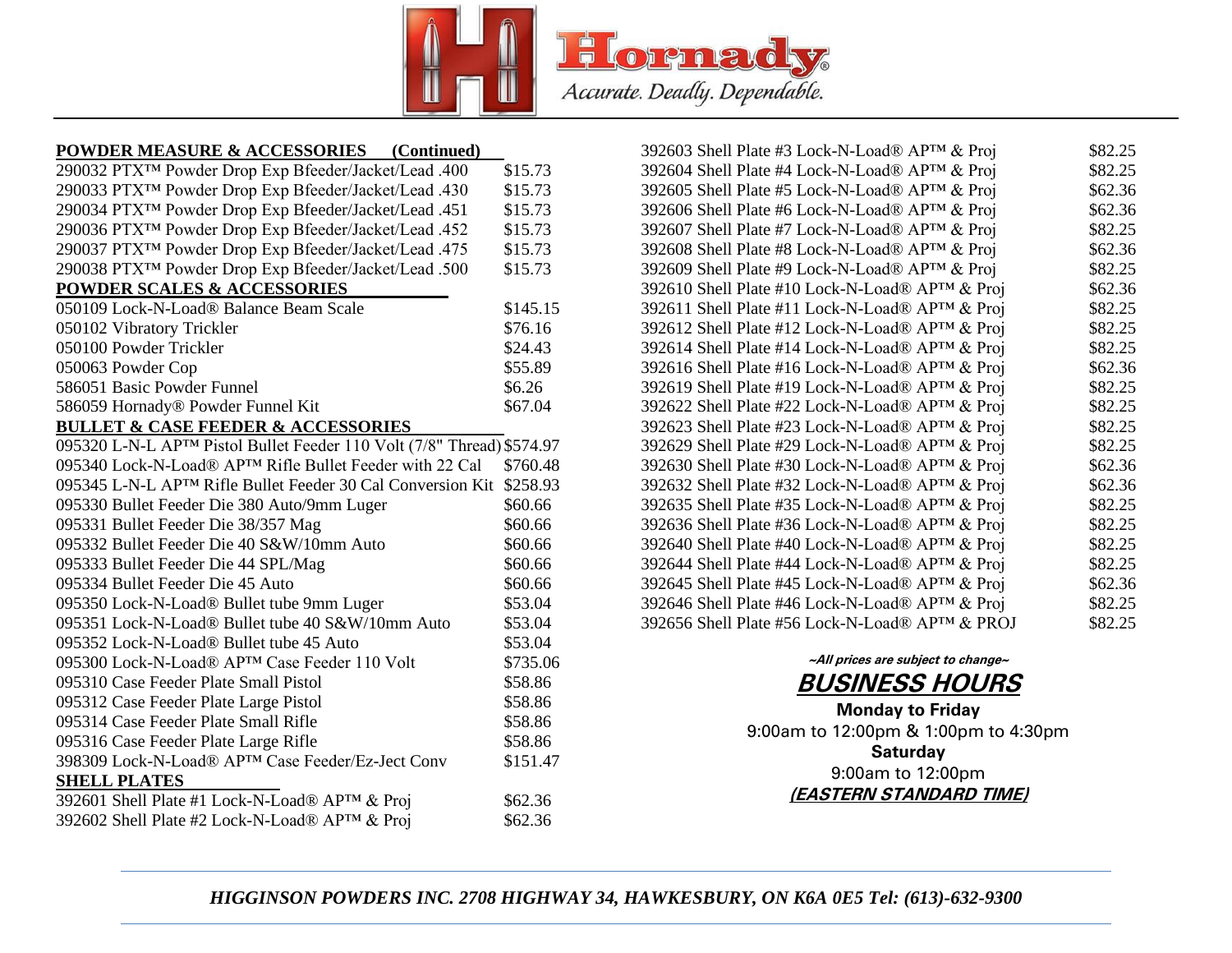

#### **POWDER MEASURE & ACCESSORIES (Continued)**

| 290032 PTX <sup>TM</sup> Powder Drop Exp Bfeeder/Jacket/Lead .400      | \$15.73  |
|------------------------------------------------------------------------|----------|
| 290033 PTX <sup>TM</sup> Powder Drop Exp Bfeeder/Jacket/Lead .430      | \$15.73  |
| 290034 PTX <sup>TM</sup> Powder Drop Exp Bfeeder/Jacket/Lead .451      | \$15.73  |
| 290036 PTX <sup>TM</sup> Powder Drop Exp Bfeeder/Jacket/Lead .452      | \$15.73  |
| 290037 PTX <sup>TM</sup> Powder Drop Exp Bfeeder/Jacket/Lead .475      | \$15.73  |
| 290038 PTX <sup>TM</sup> Powder Drop Exp Bfeeder/Jacket/Lead .500      | \$15.73  |
| <b>POWDER SCALES &amp; ACCESSORIES</b>                                 |          |
| 050109 Lock-N-Load® Balance Beam Scale                                 | \$145.15 |
| 050102 Vibratory Trickler                                              | \$76.16  |
| 050100 Powder Trickler                                                 | \$24.43  |
| 050063 Powder Cop                                                      | \$55.89  |
| 586051 Basic Powder Funnel                                             | \$6.26   |
| 586059 Hornady® Powder Funnel Kit                                      | \$67.04  |
| <b>BULLET &amp; CASE FEEDER &amp; ACCESSORIES</b>                      |          |
| 095320 L-N-L APTM Pistol Bullet Feeder 110 Volt (7/8" Thread) \$574.97 |          |
| 095340 Lock-N-Load® APTM Rifle Bullet Feeder with 22 Cal               | \$760.48 |
| 095345 L-N-L APTM Rifle Bullet Feeder 30 Cal Conversion Kit            | \$258.93 |
| 095330 Bullet Feeder Die 380 Auto/9mm Luger                            | \$60.66  |
| 095331 Bullet Feeder Die 38/357 Mag                                    | \$60.66  |
| 095332 Bullet Feeder Die 40 S&W/10mm Auto                              | \$60.66  |
| 095333 Bullet Feeder Die 44 SPL/Mag                                    | \$60.66  |
| 095334 Bullet Feeder Die 45 Auto                                       | \$60.66  |
| 095350 Lock-N-Load® Bullet tube 9mm Luger                              | \$53.04  |
| 095351 Lock-N-Load® Bullet tube 40 S&W/10mm Auto                       | \$53.04  |
| 095352 Lock-N-Load® Bullet tube 45 Auto                                | \$53.04  |
| 095300 Lock-N-Load® APTM Case Feeder 110 Volt                          | \$735.06 |
| 095310 Case Feeder Plate Small Pistol                                  | \$58.86  |
| 095312 Case Feeder Plate Large Pistol                                  | \$58.86  |
| 095314 Case Feeder Plate Small Rifle                                   | \$58.86  |
| 095316 Case Feeder Plate Large Rifle                                   | \$58.86  |
| 398309 Lock-N-Load® APTM Case Feeder/Ez-Ject Conv                      | \$151.47 |
| <b>SHELL PLATES</b>                                                    |          |
| 392601 Shell Plate #1 Lock-N-Load® APTM & Proj                         | \$62.36  |
| 392602 Shell Plate #2 Lock-N-Load® AP™ & Proj                          | \$62.36  |
|                                                                        |          |

| 392603 Shell Plate #3 Lock-N-Load® APTM & Proj  | \$82.25 |
|-------------------------------------------------|---------|
| 392604 Shell Plate #4 Lock-N-Load® AP™ & Proj   | \$82.25 |
| 392605 Shell Plate #5 Lock-N-Load® APTM & Proj  | \$62.36 |
| 392606 Shell Plate #6 Lock-N-Load® APTM & Proj  | \$62.36 |
| 392607 Shell Plate #7 Lock-N-Load® AP™ & Proj   | \$82.25 |
| 392608 Shell Plate #8 Lock-N-Load® APTM & Proj  | \$62.36 |
| 392609 Shell Plate #9 Lock-N-Load® AP™ & Proj   | \$82.25 |
| 392610 Shell Plate #10 Lock-N-Load® AP™ & Proj  | \$62.36 |
| 392611 Shell Plate #11 Lock-N-Load® AP™ & Proj  | \$82.25 |
| 392612 Shell Plate #12 Lock-N-Load® APTM & Proj | \$82.25 |
| 392614 Shell Plate #14 Lock-N-Load® APTM & Proj | \$82.25 |
| 392616 Shell Plate #16 Lock-N-Load® APTM & Proj | \$62.36 |
| 392619 Shell Plate #19 Lock-N-Load® AP™ & Proj  | \$82.25 |
| 392622 Shell Plate #22 Lock-N-Load® APTM & Proj | \$82.25 |
| 392623 Shell Plate #23 Lock-N-Load® AP™ & Proj  | \$82.25 |
| 392629 Shell Plate #29 Lock-N-Load® APTM & Proj | \$82.25 |
| 392630 Shell Plate #30 Lock-N-Load® AP™ & Proj  | \$62.36 |
| 392632 Shell Plate #32 Lock-N-Load® APTM & Proj | \$62.36 |
| 392635 Shell Plate #35 Lock-N-Load® APTM & Proj | \$82.25 |
| 392636 Shell Plate #36 Lock-N-Load® APTM & Proj | \$82.25 |
| 392640 Shell Plate #40 Lock-N-Load® APTM & Proj | \$82.25 |
| 392644 Shell Plate #44 Lock-N-Load® APTM & Proj | \$82.25 |
| 392645 Shell Plate #45 Lock-N-Load® APTM & Proj | \$62.36 |
| 392646 Shell Plate #46 Lock-N-Load® AP™ & Proj  | \$82.25 |
| 392656 Shell Plate #56 Lock-N-Load® APTM & PROJ | \$82.25 |
|                                                 |         |

# **~All prices are subject to change~ BUSINESS HOURS**

**Monday to Friday** 9:00am to 12:00pm & 1:00pm to 4:30pm **Saturday** 9:00am to 12:00pm **(EASTERN STANDARD TIME)**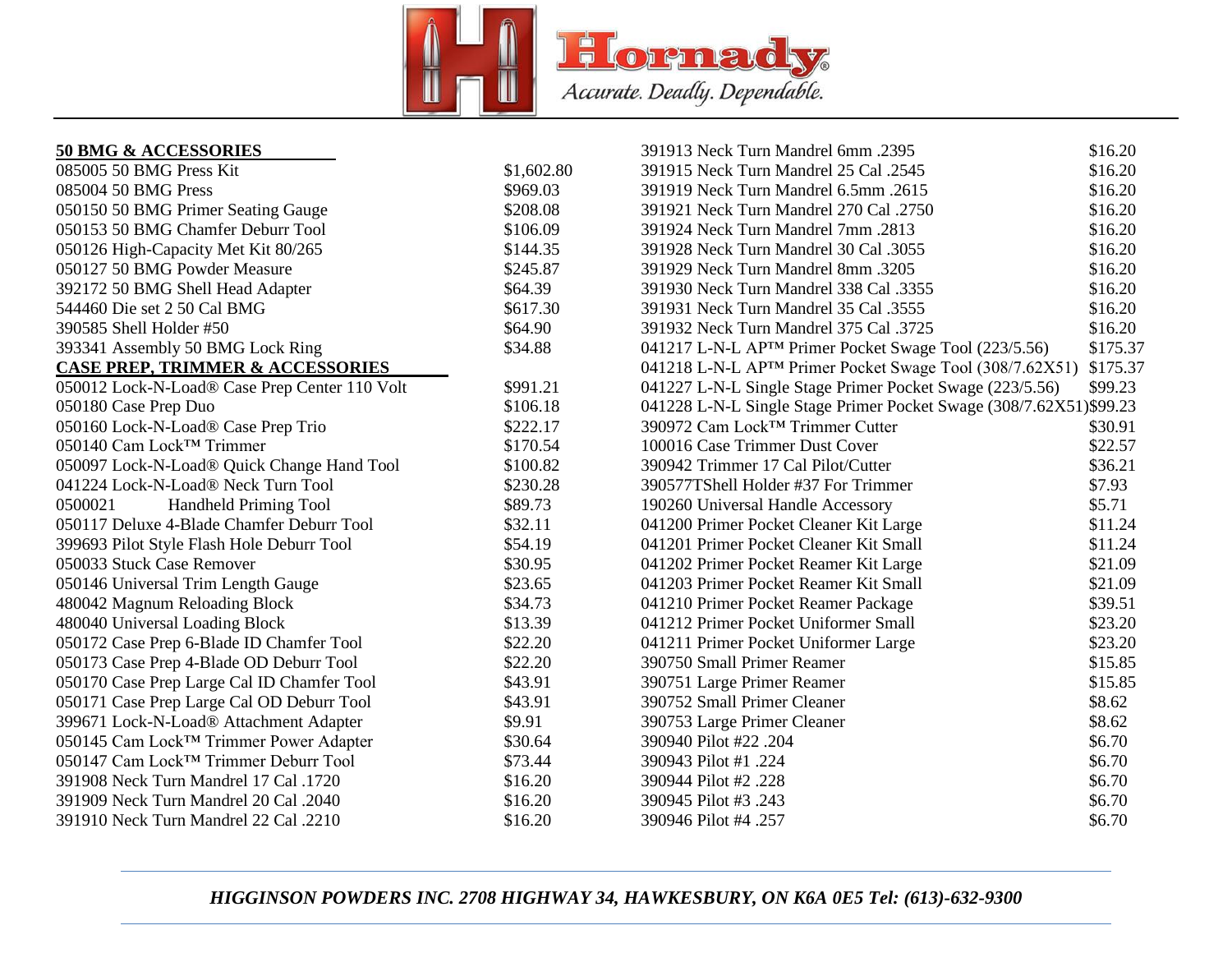

### **50 BMG & ACCESSORIES**

| <b>50 BMG &amp; ACCESSORIES</b>                  |            | 391913 Neck Turn Mandrel 6mm .2395                                 | \$16.20  |
|--------------------------------------------------|------------|--------------------------------------------------------------------|----------|
| 085005 50 BMG Press Kit                          | \$1,602.80 | 391915 Neck Turn Mandrel 25 Cal .2545                              | \$16.20  |
| 085004 50 BMG Press                              | \$969.03   | 391919 Neck Turn Mandrel 6.5mm .2615                               | \$16.20  |
| 050150 50 BMG Primer Seating Gauge               | \$208.08   | 391921 Neck Turn Mandrel 270 Cal .2750                             | \$16.20  |
| 050153 50 BMG Chamfer Deburr Tool                | \$106.09   | 391924 Neck Turn Mandrel 7mm .2813                                 | \$16.20  |
| 050126 High-Capacity Met Kit 80/265              | \$144.35   | 391928 Neck Turn Mandrel 30 Cal .3055                              | \$16.20  |
| 050127 50 BMG Powder Measure                     | \$245.87   | 391929 Neck Turn Mandrel 8mm .3205                                 | \$16.20  |
| 392172 50 BMG Shell Head Adapter                 | \$64.39    | 391930 Neck Turn Mandrel 338 Cal .3355                             | \$16.20  |
| 544460 Die set 2 50 Cal BMG                      | \$617.30   | 391931 Neck Turn Mandrel 35 Cal .3555                              | \$16.20  |
| 390585 Shell Holder #50                          | \$64.90    | 391932 Neck Turn Mandrel 375 Cal .3725                             | \$16.20  |
| 393341 Assembly 50 BMG Lock Ring                 | \$34.88    | 041217 L-N-L AP <sup>TM</sup> Primer Pocket Swage Tool (223/5.56)  | \$175.37 |
| <b>CASE PREP, TRIMMER &amp; ACCESSORIES</b>      |            | 041218 L-N-L APTM Primer Pocket Swage Tool (308/7.62X51)           | \$175.37 |
| 050012 Lock-N-Load® Case Prep Center 110 Volt    | \$991.21   | 041227 L-N-L Single Stage Primer Pocket Swage (223/5.56)           | \$99.23  |
| 050180 Case Prep Duo                             | \$106.18   | 041228 L-N-L Single Stage Primer Pocket Swage (308/7.62X51)\$99.23 |          |
| 050160 Lock-N-Load® Case Prep Trio               | \$222.17   | 390972 Cam Lock™ Trimmer Cutter                                    | \$30.91  |
| 050140 Cam Lock™ Trimmer                         | \$170.54   | 100016 Case Trimmer Dust Cover                                     | \$22.57  |
| 050097 Lock-N-Load® Quick Change Hand Tool       | \$100.82   | 390942 Trimmer 17 Cal Pilot/Cutter                                 | \$36.21  |
| 041224 Lock-N-Load® Neck Turn Tool               | \$230.28   | 390577TShell Holder #37 For Trimmer                                | \$7.93   |
| 0500021<br>Handheld Priming Tool                 | \$89.73    | 190260 Universal Handle Accessory                                  | \$5.71   |
| 050117 Deluxe 4-Blade Chamfer Deburr Tool        | \$32.11    | 041200 Primer Pocket Cleaner Kit Large                             | \$11.24  |
| 399693 Pilot Style Flash Hole Deburr Tool        | \$54.19    | 041201 Primer Pocket Cleaner Kit Small                             | \$11.24  |
| 050033 Stuck Case Remover                        | \$30.95    | 041202 Primer Pocket Reamer Kit Large                              | \$21.09  |
| 050146 Universal Trim Length Gauge               | \$23.65    | 041203 Primer Pocket Reamer Kit Small                              | \$21.09  |
| 480042 Magnum Reloading Block                    | \$34.73    | 041210 Primer Pocket Reamer Package                                | \$39.51  |
| 480040 Universal Loading Block                   | \$13.39    | 041212 Primer Pocket Uniformer Small                               | \$23.20  |
| 050172 Case Prep 6-Blade ID Chamfer Tool         | \$22.20    | 041211 Primer Pocket Uniformer Large                               | \$23.20  |
| 050173 Case Prep 4-Blade OD Deburr Tool          | \$22.20    | 390750 Small Primer Reamer                                         | \$15.85  |
| 050170 Case Prep Large Cal ID Chamfer Tool       | \$43.91    | 390751 Large Primer Reamer                                         | \$15.85  |
| 050171 Case Prep Large Cal OD Deburr Tool        | \$43.91    | 390752 Small Primer Cleaner                                        | \$8.62   |
| 399671 Lock-N-Load® Attachment Adapter           | \$9.91     | 390753 Large Primer Cleaner                                        | \$8.62   |
| 050145 Cam Lock™ Trimmer Power Adapter           | \$30.64    | 390940 Pilot #22.204                                               | \$6.70   |
| 050147 Cam Lock <sup>™</sup> Trimmer Deburr Tool | \$73.44    | 390943 Pilot #1 .224                                               | \$6.70   |
| 391908 Neck Turn Mandrel 17 Cal .1720            | \$16.20    | 390944 Pilot #2.228                                                | \$6.70   |
| 391909 Neck Turn Mandrel 20 Cal .2040            | \$16.20    | 390945 Pilot #3 .243                                               | \$6.70   |
| 391910 Neck Turn Mandrel 22 Cal .2210            | \$16.20    | 390946 Pilot #4.257                                                | \$6.70   |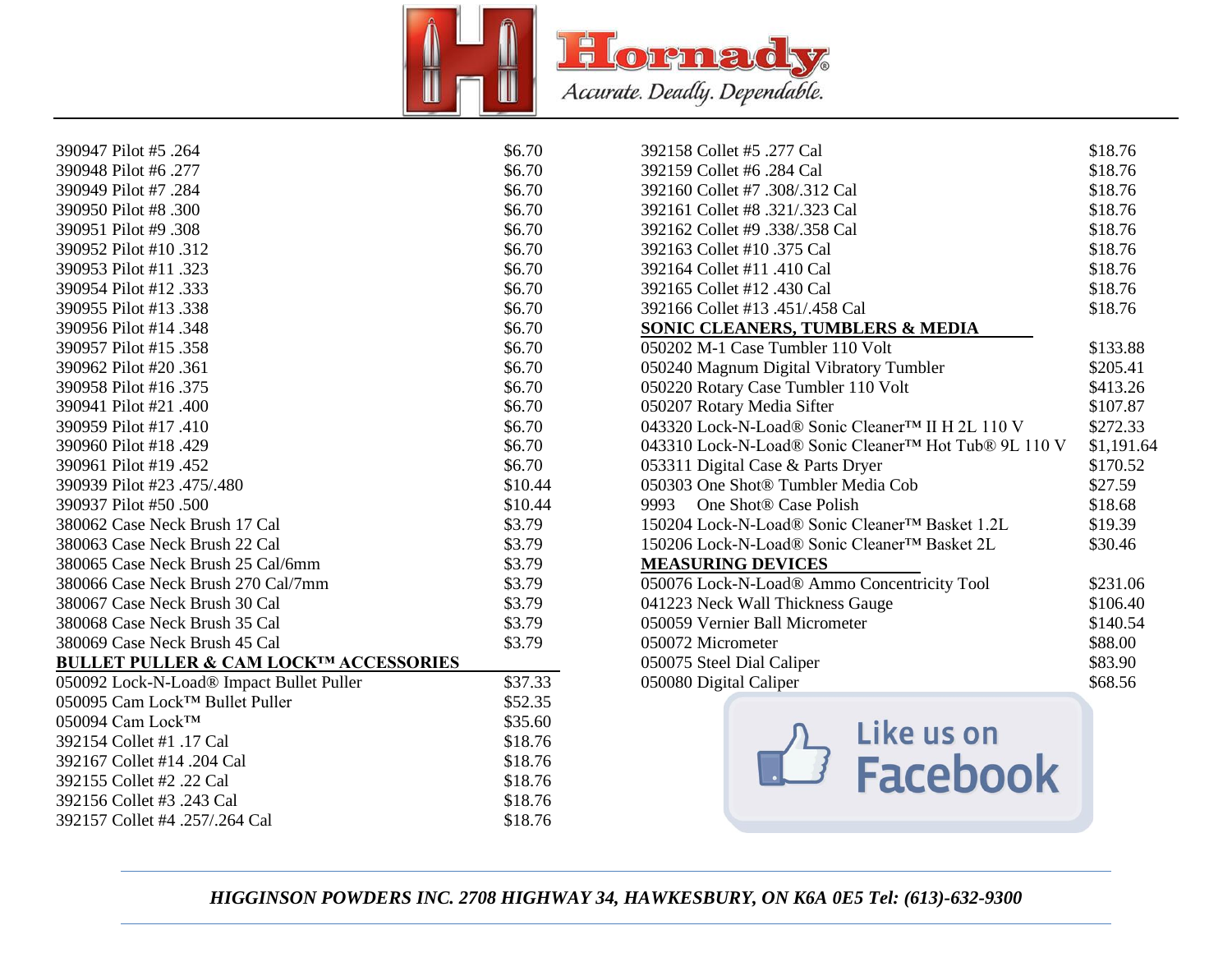

| 390947 Pilot #5 .264                             | \$6.70  | 392158 Collet #5 .277 Cal                                        | \$18.76    |
|--------------------------------------------------|---------|------------------------------------------------------------------|------------|
| 390948 Pilot #6.277                              | \$6.70  | 392159 Collet #6 .284 Cal                                        | \$18.76    |
| 390949 Pilot #7.284                              | \$6.70  | 392160 Collet #7 .308/.312 Cal                                   | \$18.76    |
| 390950 Pilot #8.300                              | \$6.70  | 392161 Collet #8 .321/.323 Cal                                   | \$18.76    |
| 390951 Pilot #9 .308                             | \$6.70  | 392162 Collet #9 .338/.358 Cal                                   | \$18.76    |
| 390952 Pilot #10.312                             | \$6.70  | 392163 Collet #10 .375 Cal                                       | \$18.76    |
| 390953 Pilot #11 .323                            | \$6.70  | 392164 Collet #11 .410 Cal                                       | \$18.76    |
| 390954 Pilot #12.333                             | \$6.70  | 392165 Collet #12 .430 Cal                                       | \$18.76    |
| 390955 Pilot #13.338                             | \$6.70  | 392166 Collet #13 .451/.458 Cal                                  | \$18.76    |
| 390956 Pilot #14 .348                            | \$6.70  | <b>SONIC CLEANERS, TUMBLERS &amp; MEDIA</b>                      |            |
| 390957 Pilot #15 .358                            | \$6.70  | 050202 M-1 Case Tumbler 110 Volt                                 | \$133.88   |
| 390962 Pilot #20.361                             | \$6.70  | 050240 Magnum Digital Vibratory Tumbler                          | \$205.41   |
| 390958 Pilot #16.375                             | \$6.70  | 050220 Rotary Case Tumbler 110 Volt                              | \$413.26   |
| 390941 Pilot #21 .400                            | \$6.70  | 050207 Rotary Media Sifter                                       | \$107.87   |
| 390959 Pilot #17.410                             | \$6.70  | 043320 Lock-N-Load® Sonic Cleaner™ II H 2L 110 V                 | \$272.33   |
| 390960 Pilot #18.429                             | \$6.70  | 043310 Lock-N-Load® Sonic Cleaner <sup>™</sup> Hot Tub® 9L 110 V | \$1,191.64 |
| 390961 Pilot #19 .452                            | \$6.70  | 053311 Digital Case & Parts Dryer                                | \$170.52   |
| 390939 Pilot #23 .475/.480                       | \$10.44 | 050303 One Shot® Tumbler Media Cob                               | \$27.59    |
| 390937 Pilot #50.500                             | \$10.44 | 9993 One Shot® Case Polish                                       | \$18.68    |
| 380062 Case Neck Brush 17 Cal                    | \$3.79  | 150204 Lock-N-Load® Sonic Cleaner™ Basket 1.2L                   | \$19.39    |
| 380063 Case Neck Brush 22 Cal                    | \$3.79  | 150206 Lock-N-Load® Sonic Cleaner™ Basket 2L                     | \$30.46    |
| 380065 Case Neck Brush 25 Cal/6mm                | \$3.79  | <b>MEASURING DEVICES</b>                                         |            |
| 380066 Case Neck Brush 270 Cal/7mm               | \$3.79  | 050076 Lock-N-Load® Ammo Concentricity Tool                      | \$231.06   |
| 380067 Case Neck Brush 30 Cal                    | \$3.79  | 041223 Neck Wall Thickness Gauge                                 | \$106.40   |
| 380068 Case Neck Brush 35 Cal                    | \$3.79  | 050059 Vernier Ball Micrometer                                   | \$140.54   |
| 380069 Case Neck Brush 45 Cal                    | \$3.79  | 050072 Micrometer                                                | \$88.00    |
| <b>BULLET PULLER &amp; CAM LOCK™ ACCESSORIES</b> |         | 050075 Steel Dial Caliper                                        | \$83.90    |
| 050092 Lock-N-Load® Impact Bullet Puller         | \$37.33 | 050080 Digital Caliper                                           | \$68.56    |
| 050095 Cam Lock™ Bullet Puller                   | \$52.35 |                                                                  |            |
| 050094 Cam Lock™                                 | \$35.60 |                                                                  |            |
| 392154 Collet #1 .17 Cal                         | \$18.76 | Like us on                                                       |            |
| 392167 Collet #14 .204 Cal                       | \$18.76 |                                                                  |            |
| 392155 Collet #2 .22 Cal                         | \$18.76 | <b>Facebook</b>                                                  |            |
| 392156 Collet #3 .243 Cal                        | \$18.76 |                                                                  |            |
| 392157 Collet #4 .257/.264 Cal                   | \$18.76 |                                                                  |            |
|                                                  |         |                                                                  |            |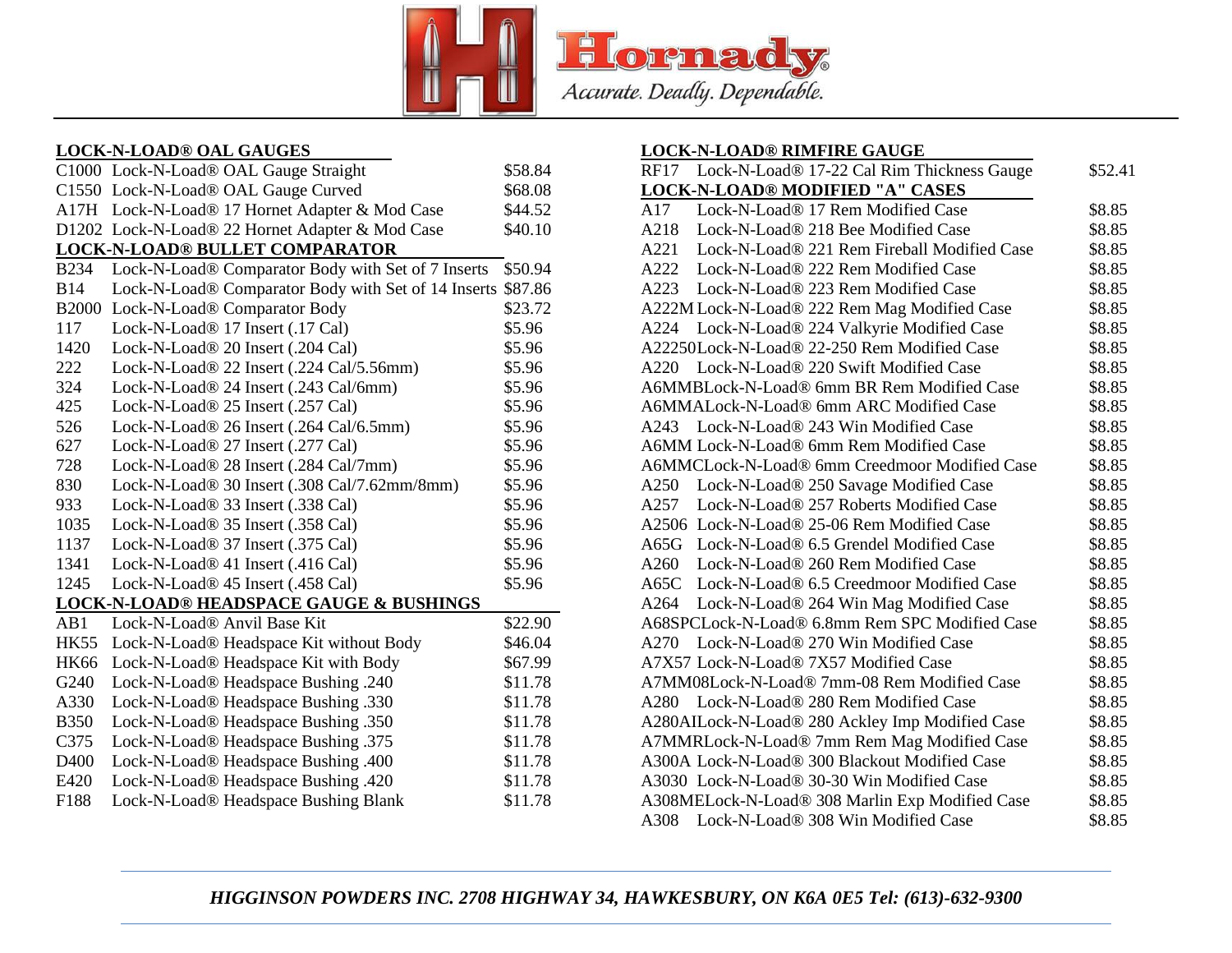

## **LOCK-N-LOAD® OAL GAUGES**

|              | C1000 Lock-N-Load® OAL Gauge Straight               | \$58.84 |
|--------------|-----------------------------------------------------|---------|
|              | C1550 Lock-N-Load® OAL Gauge Curved                 | \$68.08 |
|              | A17H Lock-N-Load® 17 Hornet Adapter & Mod Case      | \$44.52 |
|              | D1202 Lock-N-Load® 22 Hornet Adapter & Mod Case     | \$40.10 |
|              | <b>LOCK-N-LOAD® BULLET COMPARATOR</b>               |         |
| <b>B234</b>  | Lock-N-Load® Comparator Body with Set of 7 Inserts  | \$50.94 |
| <b>B14</b>   | Lock-N-Load® Comparator Body with Set of 14 Inserts | \$87.86 |
| <b>B2000</b> | Lock-N-Load® Comparator Body                        | \$23.72 |
| 117          | Lock-N-Load <sup>®</sup> 17 Insert (.17 Cal)        | \$5.96  |
| 1420         | Lock-N-Load® 20 Insert (.204 Cal)                   | \$5.96  |
| 222          | Lock-N-Load® 22 Insert (.224 Cal/5.56mm)            | \$5.96  |
| 324          | Lock-N-Load® 24 Insert (.243 Cal/6mm)               | \$5.96  |
| 425          | Lock-N-Load® 25 Insert (.257 Cal)                   | \$5.96  |
| 526          | Lock-N-Load® 26 Insert (.264 Cal/6.5mm)             | \$5.96  |
| 627          | Lock-N-Load® 27 Insert (.277 Cal)                   | \$5.96  |
| 728          | Lock-N-Load® 28 Insert (.284 Cal/7mm)               | \$5.96  |
| 830          | Lock-N-Load® 30 Insert (.308 Cal/7.62mm/8mm)        | \$5.96  |
| 933          | Lock-N-Load® 33 Insert (.338 Cal)                   | \$5.96  |
| 1035         | Lock-N-Load® 35 Insert (.358 Cal)                   | \$5.96  |
| 1137         | Lock-N-Load® 37 Insert (.375 Cal)                   | \$5.96  |
| 1341         | Lock-N-Load <sup>®</sup> 41 Insert (.416 Cal)       | \$5.96  |
| 1245         | Lock-N-Load <sup>®</sup> 45 Insert (.458 Cal)       | \$5.96  |
|              | <b>LOCK-N-LOAD® HEADSPACE GAUGE &amp; BUSHINGS</b>  |         |
| AB1          | Lock-N-Load <sup>®</sup> Anvil Base Kit             | \$22.90 |
| <b>HK55</b>  | Lock-N-Load® Headspace Kit without Body             | \$46.04 |
| <b>HK66</b>  | Lock-N-Load® Headspace Kit with Body                | \$67.99 |
| G240         | Lock-N-Load® Headspace Bushing .240                 | \$11.78 |
| A330         | Lock-N-Load® Headspace Bushing .330                 | \$11.78 |
| <b>B350</b>  | Lock-N-Load® Headspace Bushing .350                 | \$11.78 |
| C375         | Lock-N-Load® Headspace Bushing .375                 | \$11.78 |
| D400         | Lock-N-Load® Headspace Bushing .400                 | \$11.78 |
| E420         | Lock-N-Load® Headspace Bushing .420                 | \$11.78 |
| F188         | Lock-N-Load® Headspace Bushing Blank                | \$11.78 |
|              |                                                     |         |

### **LOCK-N-LOAD® RIMFIRE GAUGE**

| Lock-N-Load® 17-22 Cal Rim Thickness Gauge<br>RF17 | \$52.41 |
|----------------------------------------------------|---------|
| <b>LOCK-N-LOAD® MODIFIED "A" CASES</b>             |         |
| Lock-N-Load® 17 Rem Modified Case<br>A17           | \$8.85  |
| Lock-N-Load® 218 Bee Modified Case<br>A218         | \$8.85  |
| A221 Lock-N-Load® 221 Rem Fireball Modified Case   | \$8.85  |
| A222 Lock-N-Load® 222 Rem Modified Case            | \$8.85  |
| Lock-N-Load® 223 Rem Modified Case<br>A223         | \$8.85  |
| A222M Lock-N-Load® 222 Rem Mag Modified Case       | \$8.85  |
| A224<br>Lock-N-Load® 224 Valkyrie Modified Case    | \$8.85  |
| A22250Lock-N-Load® 22-250 Rem Modified Case        | \$8.85  |
| A220 Lock-N-Load® 220 Swift Modified Case          | \$8.85  |
| A6MMBLock-N-Load® 6mm BR Rem Modified Case         | \$8.85  |
| A6MMALock-N-Load® 6mm ARC Modified Case            | \$8.85  |
| A243 Lock-N-Load® 243 Win Modified Case            | \$8.85  |
| A6MM Lock-N-Load® 6mm Rem Modified Case            | \$8.85  |
| A6MMCLock-N-Load® 6mm Creedmoor Modified Case      | \$8.85  |
| Lock-N-Load® 250 Savage Modified Case<br>A250      | \$8.85  |
| Lock-N-Load® 257 Roberts Modified Case<br>A257     | \$8.85  |
| A2506 Lock-N-Load® 25-06 Rem Modified Case         | \$8.85  |
| A65G Lock-N-Load® 6.5 Grendel Modified Case        | \$8.85  |
| A260 Lock-N-Load® 260 Rem Modified Case            | \$8.85  |
| A65C Lock-N-Load® 6.5 Creedmoor Modified Case      | \$8.85  |
| A264 Lock-N-Load® 264 Win Mag Modified Case        | \$8.85  |
| A68SPCLock-N-Load® 6.8mm Rem SPC Modified Case     | \$8.85  |
| A270 Lock-N-Load® 270 Win Modified Case            | \$8.85  |
| A7X57 Lock-N-Load® 7X57 Modified Case              | \$8.85  |
| A7MM08Lock-N-Load® 7mm-08 Rem Modified Case        | \$8.85  |
| A280 Lock-N-Load® 280 Rem Modified Case            | \$8.85  |
| A280AILock-N-Load® 280 Ackley Imp Modified Case    | \$8.85  |
| A7MMRLock-N-Load® 7mm Rem Mag Modified Case        | \$8.85  |
| A300A Lock-N-Load® 300 Blackout Modified Case      | \$8.85  |
| A3030 Lock-N-Load® 30-30 Win Modified Case         | \$8.85  |
| A308MELock-N-Load® 308 Marlin Exp Modified Case    | \$8.85  |
| A308 Lock-N-Load® 308 Win Modified Case            | \$8.85  |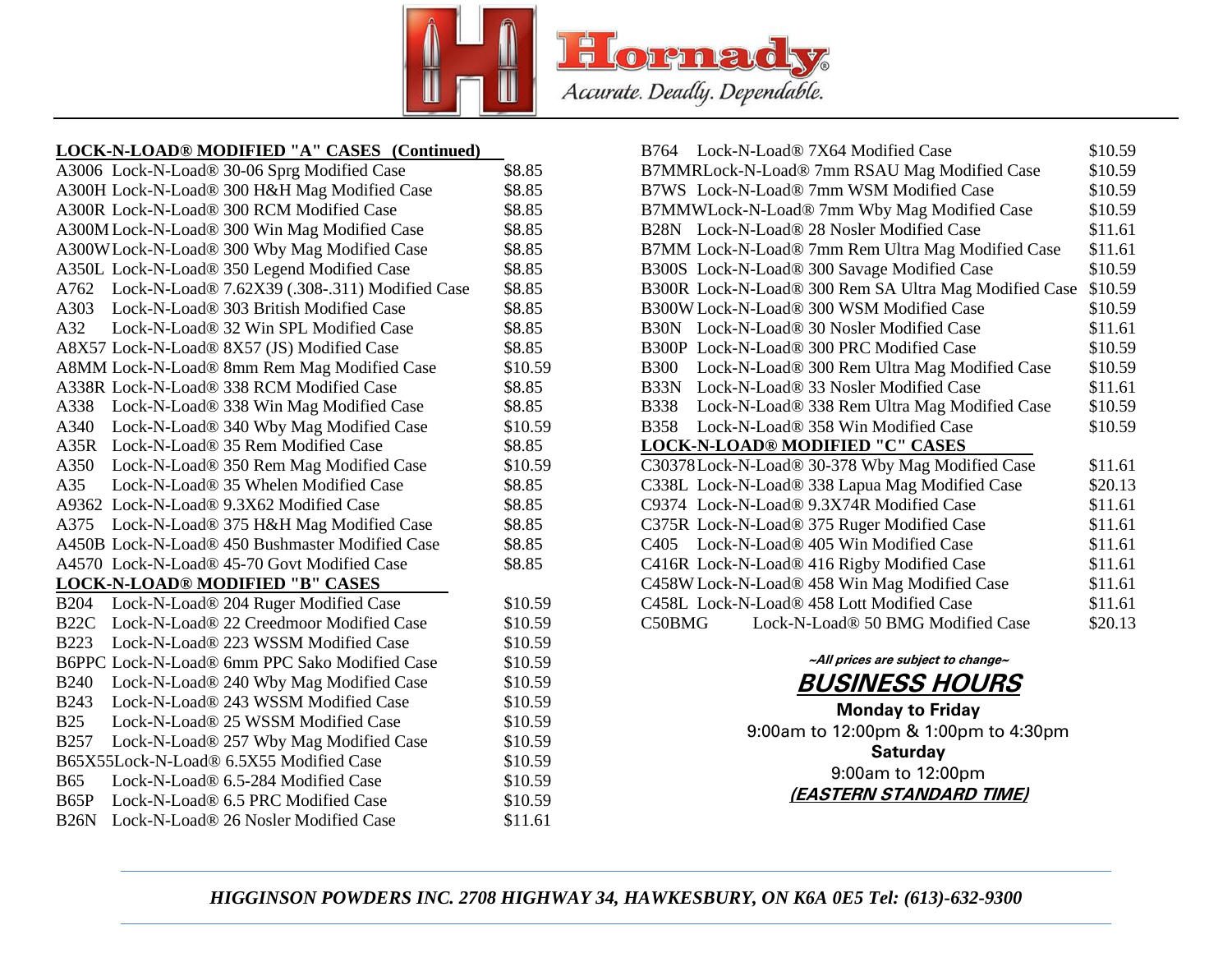

# **LOCK-N-LOAD® MODIFIED "A" CASES (Continued)**

|             | A3006 Lock-N-Load® 30-06 Sprg Modified Case     | \$8.85  |
|-------------|-------------------------------------------------|---------|
|             | A300H Lock-N-Load® 300 H&H Mag Modified Case    | \$8.85  |
|             | A300R Lock-N-Load® 300 RCM Modified Case        | \$8.85  |
|             | A300M Lock-N-Load® 300 Win Mag Modified Case    | \$8.85  |
|             | A300W Lock-N-Load® 300 Wby Mag Modified Case    | \$8.85  |
|             | A350L Lock-N-Load® 350 Legend Modified Case     | \$8.85  |
| A762        | Lock-N-Load® 7.62X39 (.308-.311) Modified Case  | \$8.85  |
|             | A303 Lock-N-Load® 303 British Modified Case     | \$8.85  |
|             | A32 Lock-N-Load® 32 Win SPL Modified Case       | \$8.85  |
|             | A8X57 Lock-N-Load® 8X57 (JS) Modified Case      | \$8.85  |
|             | A8MM Lock-N-Load® 8mm Rem Mag Modified Case     | \$10.59 |
|             | A338R Lock-N-Load® 338 RCM Modified Case        | \$8.85  |
|             | A338 Lock-N-Load® 338 Win Mag Modified Case     | \$8.85  |
|             | A340 Lock-N-Load® 340 Wby Mag Modified Case     | \$10.59 |
|             | A35R Lock-N-Load® 35 Rem Modified Case          | \$8.85  |
|             | A350 Lock-N-Load® 350 Rem Mag Modified Case     | \$10.59 |
|             | A35 Lock-N-Load® 35 Whelen Modified Case        | \$8.85  |
|             | A9362 Lock-N-Load® 9.3X62 Modified Case         | \$8.85  |
| A375        | Lock-N-Load® 375 H&H Mag Modified Case          | \$8.85  |
|             | A450B Lock-N-Load® 450 Bushmaster Modified Case | \$8.85  |
|             | A4570 Lock-N-Load® 45-70 Govt Modified Case     | \$8.85  |
|             | <b>LOCK-N-LOAD® MODIFIED "B" CASES</b>          |         |
| <b>B204</b> | Lock-N-Load® 204 Ruger Modified Case            | \$10.59 |
|             | B22C Lock-N-Load® 22 Creedmoor Modified Case    | \$10.59 |
|             | B223 Lock-N-Load® 223 WSSM Modified Case        | \$10.59 |
|             | B6PPC Lock-N-Load® 6mm PPC Sako Modified Case   | \$10.59 |
|             | B240 Lock-N-Load® 240 Wby Mag Modified Case     | \$10.59 |
| <b>B243</b> | Lock-N-Load® 243 WSSM Modified Case             | \$10.59 |
| <b>B25</b>  | Lock-N-Load® 25 WSSM Modified Case              | \$10.59 |
| <b>B257</b> | Lock-N-Load® 257 Wby Mag Modified Case          | \$10.59 |
|             | B65X55Lock-N-Load® 6.5X55 Modified Case         | \$10.59 |
| <b>B65</b>  | Lock-N-Load® 6.5-284 Modified Case              | \$10.59 |
|             | B65P Lock-N-Load® 6.5 PRC Modified Case         | \$10.59 |
|             | B26N Lock-N-Load® 26 Nosler Modified Case       | \$11.61 |
|             |                                                 |         |

| B764 Lock-N-Load® 7X64 Modified Case                        | \$10.59 |
|-------------------------------------------------------------|---------|
| B7MMRLock-N-Load® 7mm RSAU Mag Modified Case                | \$10.59 |
| B7WS Lock-N-Load® 7mm WSM Modified Case                     | \$10.59 |
| B7MMWLock-N-Load® 7mm Wby Mag Modified Case                 | \$10.59 |
| B28N Lock-N-Load® 28 Nosler Modified Case                   | \$11.61 |
| B7MM Lock-N-Load® 7mm Rem Ultra Mag Modified Case           | \$11.61 |
| B300S Lock-N-Load® 300 Savage Modified Case                 | \$10.59 |
| B300R Lock-N-Load® 300 Rem SA Ultra Mag Modified Case       | \$10.59 |
| B300W Lock-N-Load® 300 WSM Modified Case                    | \$10.59 |
| Lock-N-Load® 30 Nosler Modified Case<br>B <sub>30</sub> N   | \$11.61 |
| B300P Lock-N-Load® 300 PRC Modified Case                    | \$10.59 |
| <b>B300</b><br>Lock-N-Load® 300 Rem Ultra Mag Modified Case | \$10.59 |
| B33N Lock-N-Load® 33 Nosler Modified Case                   | \$11.61 |
| Lock-N-Load® 338 Rem Ultra Mag Modified Case<br>B338        | \$10.59 |
| Lock-N-Load® 358 Win Modified Case<br>B358                  | \$10.59 |
| <b>LOCK-N-LOAD® MODIFIED "C" CASES</b>                      |         |
| C30378Lock-N-Load® 30-378 Wby Mag Modified Case             | \$11.61 |
| C338L Lock-N-Load® 338 Lapua Mag Modified Case              | \$20.13 |
| C9374 Lock-N-Load® 9.3X74R Modified Case                    | \$11.61 |
| C375R Lock-N-Load® 375 Ruger Modified Case                  | \$11.61 |
| Lock-N-Load® 405 Win Modified Case<br>C405                  | \$11.61 |
| C416R Lock-N-Load® 416 Rigby Modified Case                  | \$11.61 |
| C458W Lock-N-Load® 458 Win Mag Modified Case                | \$11.61 |
| C458L Lock-N-Load® 458 Lott Modified Case                   | \$11.61 |
| Lock-N-Load® 50 BMG Modified Case<br>C50BMG                 | \$20.13 |
|                                                             |         |

# **~All prices are subject to change~ BUSINESS HOURS**

**Monday to Friday** 9:00am to 12:00pm & 1:00pm to 4:30pm **Saturday**

9:00am to 12:00pm **(EASTERN STANDARD TIME)**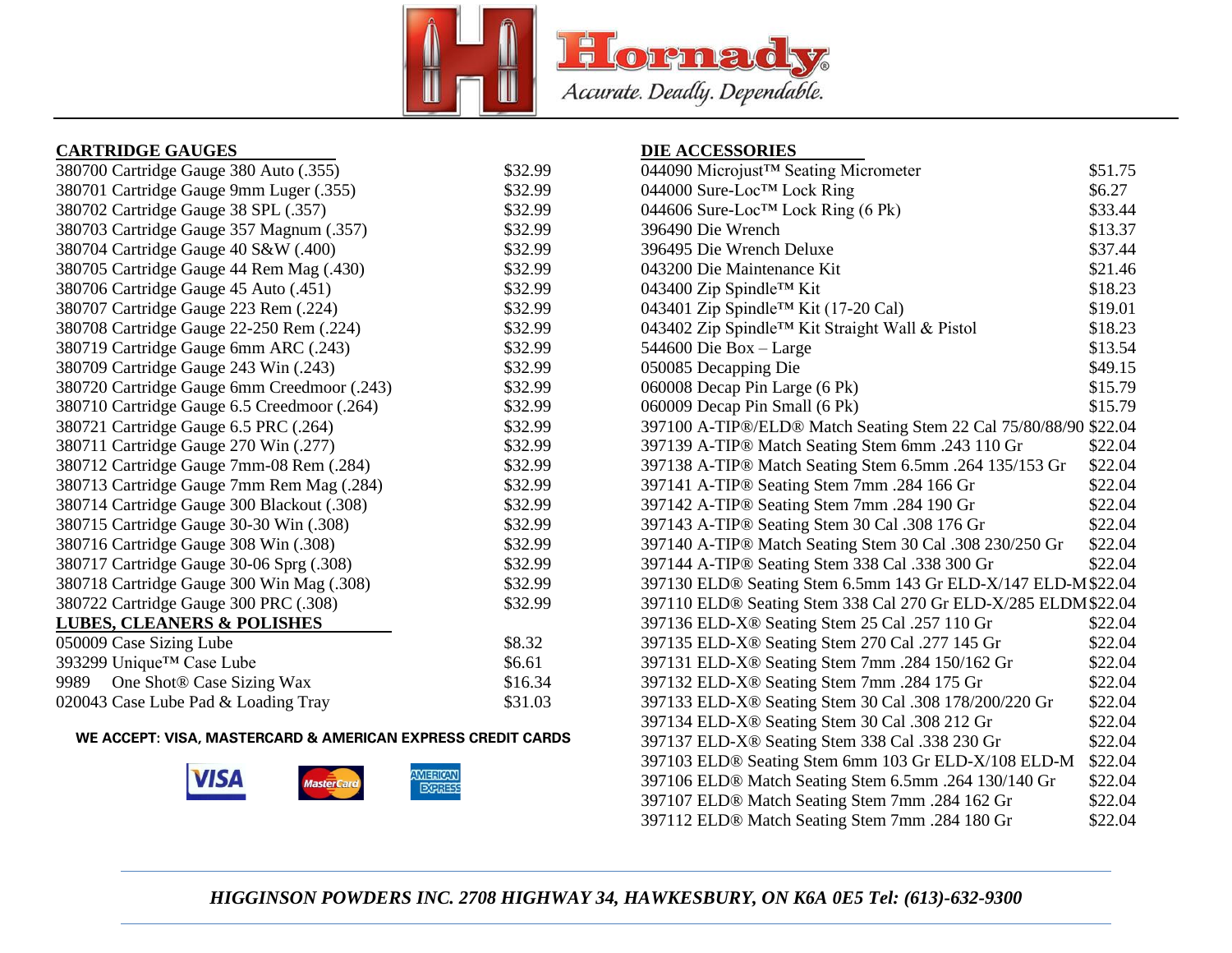

# **CARTRIDGE GAUGES**

| 380700 Cartridge Gauge 380 Auto (.355)      | \$32.99 |
|---------------------------------------------|---------|
| 380701 Cartridge Gauge 9mm Luger (.355)     | \$32.99 |
| 380702 Cartridge Gauge 38 SPL (.357)        | \$32.99 |
| 380703 Cartridge Gauge 357 Magnum (.357)    | \$32.99 |
| 380704 Cartridge Gauge 40 S&W (.400)        | \$32.99 |
| 380705 Cartridge Gauge 44 Rem Mag (.430)    | \$32.99 |
| 380706 Cartridge Gauge 45 Auto (.451)       | \$32.99 |
| 380707 Cartridge Gauge 223 Rem (.224)       | \$32.99 |
| 380708 Cartridge Gauge 22-250 Rem (.224)    | \$32.99 |
| 380719 Cartridge Gauge 6mm ARC (.243)       | \$32.99 |
| 380709 Cartridge Gauge 243 Win (.243)       | \$32.99 |
| 380720 Cartridge Gauge 6mm Creedmoor (.243) | \$32.99 |
| 380710 Cartridge Gauge 6.5 Creedmoor (.264) | \$32.99 |
| 380721 Cartridge Gauge 6.5 PRC (.264)       | \$32.99 |
| 380711 Cartridge Gauge 270 Win (.277)       | \$32.99 |
| 380712 Cartridge Gauge 7mm-08 Rem (.284)    | \$32.99 |
| 380713 Cartridge Gauge 7mm Rem Mag (.284)   | \$32.99 |
| 380714 Cartridge Gauge 300 Blackout (.308)  | \$32.99 |
| 380715 Cartridge Gauge 30-30 Win (.308)     | \$32.99 |
| 380716 Cartridge Gauge 308 Win (.308)       | \$32.99 |
| 380717 Cartridge Gauge 30-06 Sprg (.308)    | \$32.99 |
| 380718 Cartridge Gauge 300 Win Mag (.308)   | \$32.99 |
| 380722 Cartridge Gauge 300 PRC (.308)       | \$32.99 |
| <b>LUBES, CLEANERS &amp; POLISHES</b>       |         |
| 050009 Case Sizing Lube                     | \$8.32  |
| 393299 Unique™ Case Lube                    | \$6.61  |
| 9989 One Shot® Case Sizing Wax              | \$16.34 |
| 020043 Case Lube Pad & Loading Tray         | \$31.03 |

### **WE ACCEPT: VISA, MASTERCARD & AMERICAN EXPRESS CREDIT CARDS**



### **DIE ACCESSORIES**

| 044090 Microjust™ Seating Micrometer                              | \$51.75 |
|-------------------------------------------------------------------|---------|
| 044000 Sure-Loc™ Lock Ring                                        | \$6.27  |
| 044606 Sure-Loc <sup>TM</sup> Lock Ring (6 Pk)                    | \$33.44 |
| 396490 Die Wrench                                                 | \$13.37 |
| 396495 Die Wrench Deluxe                                          | \$37.44 |
| 043200 Die Maintenance Kit                                        | \$21.46 |
| 043400 Zip Spindle™ Kit                                           | \$18.23 |
| 043401 Zip Spindle™ Kit (17-20 Cal)                               | \$19.01 |
| 043402 Zip Spindle™ Kit Straight Wall & Pistol                    | \$18.23 |
| 544600 Die Box - Large                                            | \$13.54 |
| 050085 Decapping Die                                              | \$49.15 |
| 060008 Decap Pin Large (6 Pk)                                     | \$15.79 |
| 060009 Decap Pin Small (6 Pk)                                     | \$15.79 |
| 397100 A-TIP®/ELD® Match Seating Stem 22 Cal 75/80/88/90 \$22.04  |         |
| 397139 A-TIP® Match Seating Stem 6mm .243 110 Gr                  | \$22.04 |
| 397138 A-TIP® Match Seating Stem 6.5mm .264 135/153 Gr            | \$22.04 |
| 397141 A-TIP® Seating Stem 7mm .284 166 Gr                        | \$22.04 |
| 397142 A-TIP® Seating Stem 7mm .284 190 Gr                        | \$22.04 |
| 397143 A-TIP® Seating Stem 30 Cal .308 176 Gr                     | \$22.04 |
| 397140 A-TIP® Match Seating Stem 30 Cal .308 230/250 Gr           | \$22.04 |
| 397144 A-TIP® Seating Stem 338 Cal .338 300 Gr                    | \$22.04 |
| 397130 ELD® Seating Stem 6.5mm 143 Gr ELD-X/147 ELD-M\$22.04      |         |
| 397110 ELD® Seating Stem 338 Cal 270 Gr ELD-X/285 ELDM\$22.04     |         |
| 397136 ELD-X® Seating Stem 25 Cal .257 110 Gr                     | \$22.04 |
| 397135 ELD-X® Seating Stem 270 Cal .277 145 Gr                    | \$22.04 |
| 397131 ELD-X <sup>®</sup> Seating Stem 7mm .284 150/162 Gr        | \$22.04 |
| 397132 ELD-X® Seating Stem 7mm .284 175 Gr                        | \$22.04 |
| 397133 ELD-X <sup>®</sup> Seating Stem 30 Cal .308 178/200/220 Gr | \$22.04 |
| 397134 ELD-X® Seating Stem 30 Cal .308 212 Gr                     | \$22.04 |
| 397137 ELD-X® Seating Stem 338 Cal .338 230 Gr                    | \$22.04 |
| 397103 ELD® Seating Stem 6mm 103 Gr ELD-X/108 ELD-M               | \$22.04 |
| 397106 ELD® Match Seating Stem 6.5mm .264 130/140 Gr              | \$22.04 |
| 397107 ELD® Match Seating Stem 7mm .284 162 Gr                    | \$22.04 |
| 397112 ELD® Match Seating Stem 7mm .284 180 Gr                    | \$22.04 |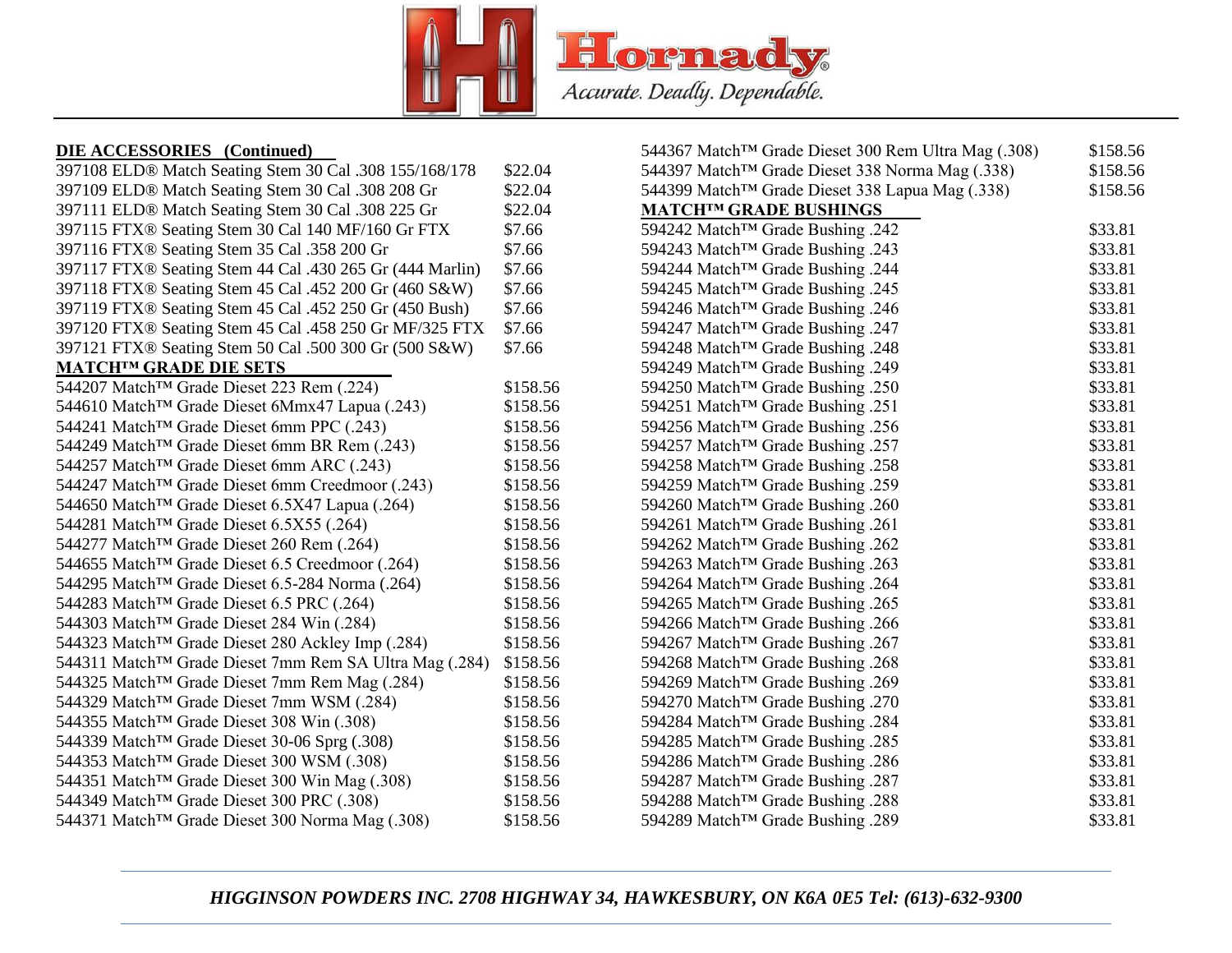

### **DIE ACCESSORIES (Continued)**

| 397108 ELD® Match Seating Stem 30 Cal .308 155/168/178              | \$22.04  |
|---------------------------------------------------------------------|----------|
| 397109 ELD® Match Seating Stem 30 Cal .308 208 Gr                   | \$22.04  |
| 397111 ELD® Match Seating Stem 30 Cal .308 225 Gr                   | \$22.04  |
| 397115 FTX® Seating Stem 30 Cal 140 MF/160 Gr FTX                   | \$7.66   |
| 397116 FTX® Seating Stem 35 Cal .358 200 Gr                         | \$7.66   |
| 397117 FTX® Seating Stem 44 Cal .430 265 Gr (444 Marlin)            | \$7.66   |
| 397118 FTX® Seating Stem 45 Cal .452 200 Gr (460 S&W)               | \$7.66   |
| 397119 FTX® Seating Stem 45 Cal .452 250 Gr (450 Bush)              | \$7.66   |
| 397120 FTX® Seating Stem 45 Cal .458 250 Gr MF/325 FTX              | \$7.66   |
| 397121 FTX® Seating Stem 50 Cal .500 300 Gr (500 S&W)               | \$7.66   |
| <b>MATCHTM GRADE DIE SETS</b>                                       |          |
| 544207 Match <sup>™</sup> Grade Dieset 223 Rem (.224)               | \$158.56 |
| 544610 Match™ Grade Dieset 6Mmx47 Lapua (.243)                      | \$158.56 |
| 544241 Match <sup>™</sup> Grade Dieset 6mm PPC (.243)               | \$158.56 |
| 544249 Match <sup>™</sup> Grade Dieset 6mm BR Rem (.243)            | \$158.56 |
| 544257 Match <sup>™</sup> Grade Dieset 6mm ARC (.243)               | \$158.56 |
| 544247 Match <sup>™</sup> Grade Dieset 6mm Creedmoor (.243)         | \$158.56 |
| 544650 Match <sup>™</sup> Grade Dieset 6.5X47 Lapua (.264)          | \$158.56 |
| 544281 Match™ Grade Dieset 6.5X55 (.264)                            | \$158.56 |
| 544277 Match™ Grade Dieset 260 Rem (.264)                           | \$158.56 |
| 544655 Match <sup>™</sup> Grade Dieset 6.5 Creedmoor (.264)         | \$158.56 |
| 544295 Match <sup>™</sup> Grade Dieset 6.5-284 Norma (.264)         | \$158.56 |
| 544283 Match <sup>™</sup> Grade Dieset 6.5 PRC (.264)               | \$158.56 |
| 544303 Match™ Grade Dieset 284 Win (.284)                           | \$158.56 |
| 544323 Match <sup>™</sup> Grade Dieset 280 Ackley Imp (.284)        | \$158.56 |
| 544311 Match <sup>TM</sup> Grade Dieset 7mm Rem SA Ultra Mag (.284) | \$158.56 |
| 544325 Match <sup>™</sup> Grade Dieset 7mm Rem Mag (.284)           | \$158.56 |
| 544329 Match <sup>™</sup> Grade Dieset 7mm WSM (.284)               | \$158.56 |
| 544355 Match™ Grade Dieset 308 Win (.308)                           | \$158.56 |
| 544339 Match <sup>™</sup> Grade Dieset 30-06 Sprg (.308)            | \$158.56 |
| 544353 Match <sup>™</sup> Grade Dieset 300 WSM (.308)               | \$158.56 |
| 544351 Match <sup>™</sup> Grade Dieset 300 Win Mag (.308)           | \$158.56 |
| 544349 Match™ Grade Dieset 300 PRC (.308)                           | \$158.56 |
| 544371 Match™ Grade Dieset 300 Norma Mag (.308)                     | \$158.56 |
|                                                                     |          |

| 544367 Match <sup>™</sup> Grade Dieset 300 Rem Ultra Mag (.308)<br>544397 Match <sup>™</sup> Grade Dieset 338 Norma Mag (.338)<br>544399 Match™ Grade Dieset 338 Lapua Mag (.338)<br><b>MATCHTM GRADE BUSHINGS</b><br>594242 Match™ Grade Bushing .242<br>594243 Match <sup>™</sup> Grade Bushing .243<br>594244 Match <sup>™</sup> Grade Bushing .244<br>594245 Match <sup>™</sup> Grade Bushing .245<br>594246 Match <sup>™</sup> Grade Bushing .246<br>594247 Match™ Grade Bushing .247<br>594248 Match <sup>™</sup> Grade Bushing .248<br>594249 Match™ Grade Bushing .249<br>594250 Match™ Grade Bushing .250<br>594251 Match <sup>™</sup> Grade Bushing .251<br>594256 Match™ Grade Bushing .256<br>594257 Match™ Grade Bushing .257<br>594258 Match <sup>™</sup> Grade Bushing .258<br>594259 Match™ Grade Bushing .259<br>594260 Match™ Grade Bushing .260<br>594261 Match™ Grade Bushing .261<br>594262 Match <sup>™</sup> Grade Bushing .262<br>594263 Match <sup>™</sup> Grade Bushing .263<br>594264 Match™ Grade Bushing .264<br>594265 Match <sup>™</sup> Grade Bushing .265<br>594266 Match™ Grade Bushing .266<br>594267 Match <sup>™</sup> Grade Bushing .267<br>594268 Match <sup>™</sup> Grade Bushing .268<br>594269 Match™ Grade Bushing .269<br>594270 Match™ Grade Bushing .270<br>594284 Match™ Grade Bushing .284<br>594285 Match™ Grade Bushing .285<br>594286 Match™ Grade Bushing .286<br>594287 Match™ Grade Bushing .287<br>594288 Match <sup>™</sup> Grade Bushing .288 |                                  |          |
|--------------------------------------------------------------------------------------------------------------------------------------------------------------------------------------------------------------------------------------------------------------------------------------------------------------------------------------------------------------------------------------------------------------------------------------------------------------------------------------------------------------------------------------------------------------------------------------------------------------------------------------------------------------------------------------------------------------------------------------------------------------------------------------------------------------------------------------------------------------------------------------------------------------------------------------------------------------------------------------------------------------------------------------------------------------------------------------------------------------------------------------------------------------------------------------------------------------------------------------------------------------------------------------------------------------------------------------------------------------------------------------------------------------------------------------------------------------------------------------------------------|----------------------------------|----------|
|                                                                                                                                                                                                                                                                                                                                                                                                                                                                                                                                                                                                                                                                                                                                                                                                                                                                                                                                                                                                                                                                                                                                                                                                                                                                                                                                                                                                                                                                                                        |                                  | \$158.56 |
|                                                                                                                                                                                                                                                                                                                                                                                                                                                                                                                                                                                                                                                                                                                                                                                                                                                                                                                                                                                                                                                                                                                                                                                                                                                                                                                                                                                                                                                                                                        |                                  | \$158.56 |
|                                                                                                                                                                                                                                                                                                                                                                                                                                                                                                                                                                                                                                                                                                                                                                                                                                                                                                                                                                                                                                                                                                                                                                                                                                                                                                                                                                                                                                                                                                        |                                  | \$158.56 |
|                                                                                                                                                                                                                                                                                                                                                                                                                                                                                                                                                                                                                                                                                                                                                                                                                                                                                                                                                                                                                                                                                                                                                                                                                                                                                                                                                                                                                                                                                                        |                                  |          |
|                                                                                                                                                                                                                                                                                                                                                                                                                                                                                                                                                                                                                                                                                                                                                                                                                                                                                                                                                                                                                                                                                                                                                                                                                                                                                                                                                                                                                                                                                                        |                                  | \$33.81  |
|                                                                                                                                                                                                                                                                                                                                                                                                                                                                                                                                                                                                                                                                                                                                                                                                                                                                                                                                                                                                                                                                                                                                                                                                                                                                                                                                                                                                                                                                                                        |                                  | \$33.81  |
|                                                                                                                                                                                                                                                                                                                                                                                                                                                                                                                                                                                                                                                                                                                                                                                                                                                                                                                                                                                                                                                                                                                                                                                                                                                                                                                                                                                                                                                                                                        |                                  | \$33.81  |
|                                                                                                                                                                                                                                                                                                                                                                                                                                                                                                                                                                                                                                                                                                                                                                                                                                                                                                                                                                                                                                                                                                                                                                                                                                                                                                                                                                                                                                                                                                        |                                  | \$33.81  |
|                                                                                                                                                                                                                                                                                                                                                                                                                                                                                                                                                                                                                                                                                                                                                                                                                                                                                                                                                                                                                                                                                                                                                                                                                                                                                                                                                                                                                                                                                                        |                                  | \$33.81  |
|                                                                                                                                                                                                                                                                                                                                                                                                                                                                                                                                                                                                                                                                                                                                                                                                                                                                                                                                                                                                                                                                                                                                                                                                                                                                                                                                                                                                                                                                                                        |                                  | \$33.81  |
|                                                                                                                                                                                                                                                                                                                                                                                                                                                                                                                                                                                                                                                                                                                                                                                                                                                                                                                                                                                                                                                                                                                                                                                                                                                                                                                                                                                                                                                                                                        |                                  | \$33.81  |
|                                                                                                                                                                                                                                                                                                                                                                                                                                                                                                                                                                                                                                                                                                                                                                                                                                                                                                                                                                                                                                                                                                                                                                                                                                                                                                                                                                                                                                                                                                        |                                  | \$33.81  |
|                                                                                                                                                                                                                                                                                                                                                                                                                                                                                                                                                                                                                                                                                                                                                                                                                                                                                                                                                                                                                                                                                                                                                                                                                                                                                                                                                                                                                                                                                                        |                                  | \$33.81  |
|                                                                                                                                                                                                                                                                                                                                                                                                                                                                                                                                                                                                                                                                                                                                                                                                                                                                                                                                                                                                                                                                                                                                                                                                                                                                                                                                                                                                                                                                                                        |                                  | \$33.81  |
|                                                                                                                                                                                                                                                                                                                                                                                                                                                                                                                                                                                                                                                                                                                                                                                                                                                                                                                                                                                                                                                                                                                                                                                                                                                                                                                                                                                                                                                                                                        |                                  | \$33.81  |
|                                                                                                                                                                                                                                                                                                                                                                                                                                                                                                                                                                                                                                                                                                                                                                                                                                                                                                                                                                                                                                                                                                                                                                                                                                                                                                                                                                                                                                                                                                        |                                  | \$33.81  |
|                                                                                                                                                                                                                                                                                                                                                                                                                                                                                                                                                                                                                                                                                                                                                                                                                                                                                                                                                                                                                                                                                                                                                                                                                                                                                                                                                                                                                                                                                                        |                                  | \$33.81  |
|                                                                                                                                                                                                                                                                                                                                                                                                                                                                                                                                                                                                                                                                                                                                                                                                                                                                                                                                                                                                                                                                                                                                                                                                                                                                                                                                                                                                                                                                                                        |                                  | \$33.81  |
|                                                                                                                                                                                                                                                                                                                                                                                                                                                                                                                                                                                                                                                                                                                                                                                                                                                                                                                                                                                                                                                                                                                                                                                                                                                                                                                                                                                                                                                                                                        |                                  | \$33.81  |
|                                                                                                                                                                                                                                                                                                                                                                                                                                                                                                                                                                                                                                                                                                                                                                                                                                                                                                                                                                                                                                                                                                                                                                                                                                                                                                                                                                                                                                                                                                        |                                  | \$33.81  |
|                                                                                                                                                                                                                                                                                                                                                                                                                                                                                                                                                                                                                                                                                                                                                                                                                                                                                                                                                                                                                                                                                                                                                                                                                                                                                                                                                                                                                                                                                                        |                                  | \$33.81  |
|                                                                                                                                                                                                                                                                                                                                                                                                                                                                                                                                                                                                                                                                                                                                                                                                                                                                                                                                                                                                                                                                                                                                                                                                                                                                                                                                                                                                                                                                                                        |                                  | \$33.81  |
|                                                                                                                                                                                                                                                                                                                                                                                                                                                                                                                                                                                                                                                                                                                                                                                                                                                                                                                                                                                                                                                                                                                                                                                                                                                                                                                                                                                                                                                                                                        |                                  | \$33.81  |
|                                                                                                                                                                                                                                                                                                                                                                                                                                                                                                                                                                                                                                                                                                                                                                                                                                                                                                                                                                                                                                                                                                                                                                                                                                                                                                                                                                                                                                                                                                        |                                  | \$33.81  |
|                                                                                                                                                                                                                                                                                                                                                                                                                                                                                                                                                                                                                                                                                                                                                                                                                                                                                                                                                                                                                                                                                                                                                                                                                                                                                                                                                                                                                                                                                                        |                                  | \$33.81  |
|                                                                                                                                                                                                                                                                                                                                                                                                                                                                                                                                                                                                                                                                                                                                                                                                                                                                                                                                                                                                                                                                                                                                                                                                                                                                                                                                                                                                                                                                                                        |                                  | \$33.81  |
|                                                                                                                                                                                                                                                                                                                                                                                                                                                                                                                                                                                                                                                                                                                                                                                                                                                                                                                                                                                                                                                                                                                                                                                                                                                                                                                                                                                                                                                                                                        |                                  | \$33.81  |
|                                                                                                                                                                                                                                                                                                                                                                                                                                                                                                                                                                                                                                                                                                                                                                                                                                                                                                                                                                                                                                                                                                                                                                                                                                                                                                                                                                                                                                                                                                        |                                  | \$33.81  |
|                                                                                                                                                                                                                                                                                                                                                                                                                                                                                                                                                                                                                                                                                                                                                                                                                                                                                                                                                                                                                                                                                                                                                                                                                                                                                                                                                                                                                                                                                                        |                                  | \$33.81  |
|                                                                                                                                                                                                                                                                                                                                                                                                                                                                                                                                                                                                                                                                                                                                                                                                                                                                                                                                                                                                                                                                                                                                                                                                                                                                                                                                                                                                                                                                                                        |                                  | \$33.81  |
|                                                                                                                                                                                                                                                                                                                                                                                                                                                                                                                                                                                                                                                                                                                                                                                                                                                                                                                                                                                                                                                                                                                                                                                                                                                                                                                                                                                                                                                                                                        |                                  | \$33.81  |
|                                                                                                                                                                                                                                                                                                                                                                                                                                                                                                                                                                                                                                                                                                                                                                                                                                                                                                                                                                                                                                                                                                                                                                                                                                                                                                                                                                                                                                                                                                        |                                  | \$33.81  |
|                                                                                                                                                                                                                                                                                                                                                                                                                                                                                                                                                                                                                                                                                                                                                                                                                                                                                                                                                                                                                                                                                                                                                                                                                                                                                                                                                                                                                                                                                                        |                                  | \$33.81  |
|                                                                                                                                                                                                                                                                                                                                                                                                                                                                                                                                                                                                                                                                                                                                                                                                                                                                                                                                                                                                                                                                                                                                                                                                                                                                                                                                                                                                                                                                                                        |                                  | \$33.81  |
|                                                                                                                                                                                                                                                                                                                                                                                                                                                                                                                                                                                                                                                                                                                                                                                                                                                                                                                                                                                                                                                                                                                                                                                                                                                                                                                                                                                                                                                                                                        | 594289 Match™ Grade Bushing .289 | \$33.81  |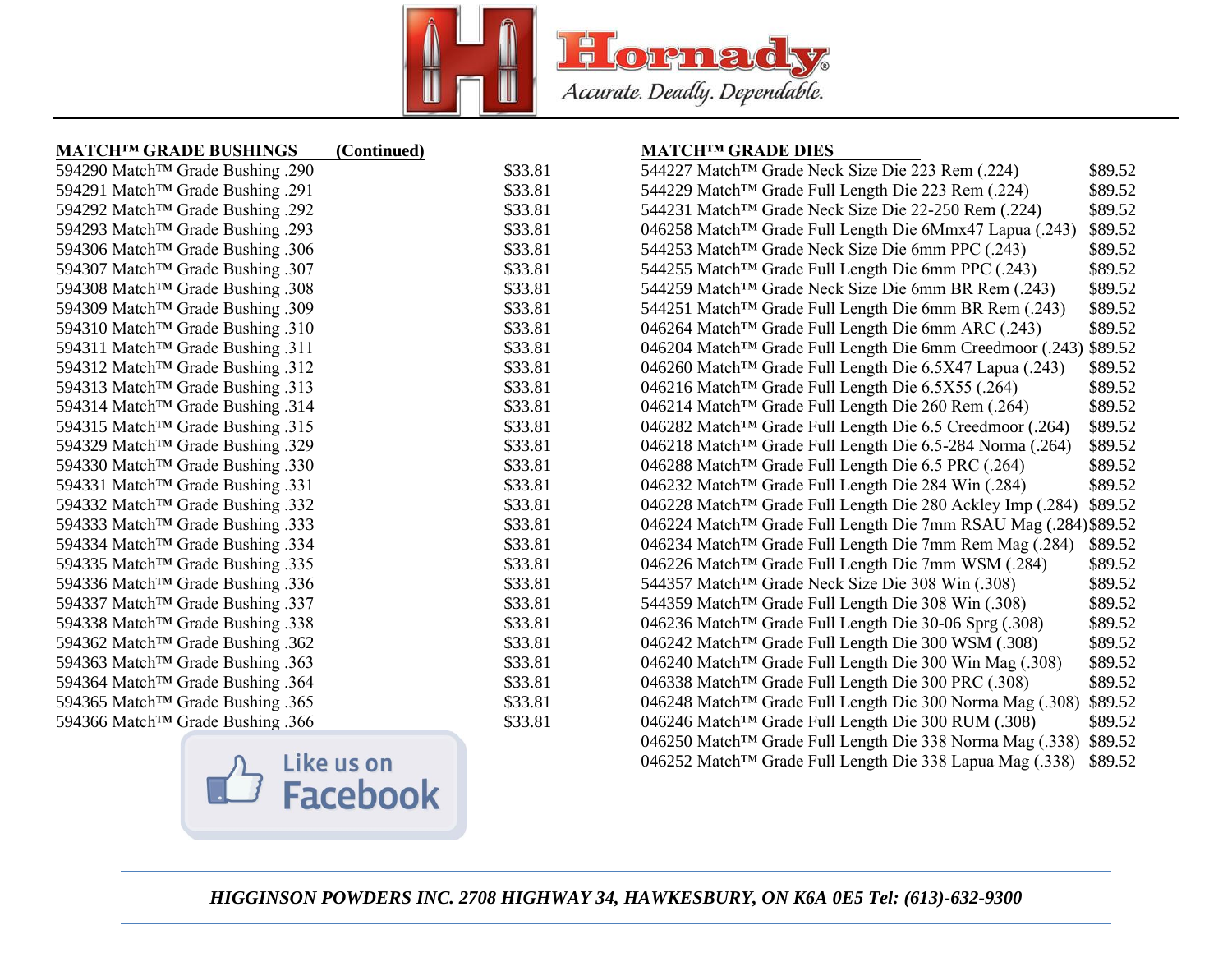

### **MATCH™ GRADE BUSHINGS (Continued)**

| 594290 Match <sup>™</sup> Grade Bushing .290 | \$33.81 |
|----------------------------------------------|---------|
| 594291 Match <sup>™</sup> Grade Bushing .291 | \$33.81 |
| 594292 Match <sup>™</sup> Grade Bushing .292 | \$33.81 |
| 594293 Match <sup>™</sup> Grade Bushing .293 | \$33.81 |
| 594306 Match™ Grade Bushing .306             | \$33.81 |
| 594307 Match <sup>™</sup> Grade Bushing .307 | \$33.81 |
| 594308 Match <sup>™</sup> Grade Bushing .308 | \$33.81 |
| 594309 Match™ Grade Bushing .309             | \$33.81 |
| 594310 Match <sup>™</sup> Grade Bushing .310 | \$33.81 |
| 594311 Match™ Grade Bushing .311             | \$33.81 |
| 594312 Match <sup>™</sup> Grade Bushing .312 | \$33.81 |
| 594313 Match <sup>™</sup> Grade Bushing .313 | \$33.81 |
| 594314 Match™ Grade Bushing .314             | \$33.81 |
| 594315 Match™ Grade Bushing .315             | \$33.81 |
| 594329 Match™ Grade Bushing .329             | \$33.81 |
| 594330 Match™ Grade Bushing .330             | \$33.81 |
| 594331 Match <sup>™</sup> Grade Bushing .331 | \$33.81 |
| 594332 Match <sup>™</sup> Grade Bushing .332 | \$33.81 |
| 594333 Match <sup>™</sup> Grade Bushing .333 | \$33.81 |
| 594334 Match™ Grade Bushing .334             | \$33.81 |
| 594335 Match <sup>™</sup> Grade Bushing .335 | \$33.81 |
| 594336 Match <sup>™</sup> Grade Bushing .336 | \$33.81 |
| 594337 Match™ Grade Bushing .337             | \$33.81 |
| 594338 Match <sup>™</sup> Grade Bushing .338 | \$33.81 |
| 594362 Match <sup>™</sup> Grade Bushing .362 | \$33.81 |
| 594363 Match <sup>™</sup> Grade Bushing .363 | \$33.81 |
| 594364 Match <sup>™</sup> Grade Bushing .364 | \$33.81 |
| 594365 Match™ Grade Bushing .365             | \$33.81 |
| 594366 Match™ Grade Bushing .366             | \$33.81 |



#### **MATCH™ GRADE DIES**

| 544227 Match <sup>™</sup> Grade Neck Size Die 223 Rem (.224)           | \$89.52 |
|------------------------------------------------------------------------|---------|
| 544229 Match™ Grade Full Length Die 223 Rem (.224)                     | \$89.52 |
| 544231 Match <sup>™</sup> Grade Neck Size Die 22-250 Rem (.224)        | \$89.52 |
| 046258 Match™ Grade Full Length Die 6Mmx47 Lapua (.243)                | \$89.52 |
| 544253 Match <sup>™</sup> Grade Neck Size Die 6mm PPC (.243)           | \$89.52 |
| 544255 Match <sup>™</sup> Grade Full Length Die 6mm PPC (.243)         | \$89.52 |
| 544259 Match™ Grade Neck Size Die 6mm BR Rem (.243)                    | \$89.52 |
| 544251 Match <sup>™</sup> Grade Full Length Die 6mm BR Rem (.243)      | \$89.52 |
| 046264 Match <sup>™</sup> Grade Full Length Die 6mm ARC (.243)         | \$89.52 |
| 046204 Match <sup>™</sup> Grade Full Length Die 6mm Creedmoor (.243)   | \$89.52 |
| 046260 Match™ Grade Full Length Die 6.5X47 Lapua (.243)                | \$89.52 |
| 046216 Match <sup>™</sup> Grade Full Length Die 6.5X55 (.264)          | \$89.52 |
| 046214 Match <sup>™</sup> Grade Full Length Die 260 Rem (.264)         | \$89.52 |
| 046282 Match <sup>™</sup> Grade Full Length Die 6.5 Creedmoor (.264)   | \$89.52 |
| 046218 Match™ Grade Full Length Die 6.5-284 Norma (.264)               | \$89.52 |
| 046288 Match <sup>™</sup> Grade Full Length Die 6.5 PRC (.264)         | \$89.52 |
| 046232 Match <sup>™</sup> Grade Full Length Die 284 Win (.284)         | \$89.52 |
| 046228 Match <sup>TM</sup> Grade Full Length Die 280 Ackley Imp (.284) | \$89.52 |
| 046224 Match™ Grade Full Length Die 7mm RSAU Mag (.284) \$89.52        |         |
| 046234 Match <sup>™</sup> Grade Full Length Die 7mm Rem Mag (.284)     | \$89.52 |
| 046226 Match <sup>™</sup> Grade Full Length Die 7mm WSM (.284)         | \$89.52 |
| 544357 Match <sup>™</sup> Grade Neck Size Die 308 Win (.308)           | \$89.52 |
| 544359 Match™ Grade Full Length Die 308 Win (.308)                     | \$89.52 |
| 046236 Match™ Grade Full Length Die 30-06 Sprg (.308)                  | \$89.52 |
| 046242 Match <sup>™</sup> Grade Full Length Die 300 WSM (.308)         | \$89.52 |
| 046240 Match™ Grade Full Length Die 300 Win Mag (.308)                 | \$89.52 |
| 046338 Match™ Grade Full Length Die 300 PRC (.308)                     | \$89.52 |
| 046248 Match™ Grade Full Length Die 300 Norma Mag (.308)               | \$89.52 |
| 046246 Match <sup>™</sup> Grade Full Length Die 300 RUM (.308)         | \$89.52 |
| 046250 Match <sup>™</sup> Grade Full Length Die 338 Norma Mag (.338)   | \$89.52 |
| 046252 Match™ Grade Full Length Die 338 Lapua Mag (.338)               | \$89.52 |